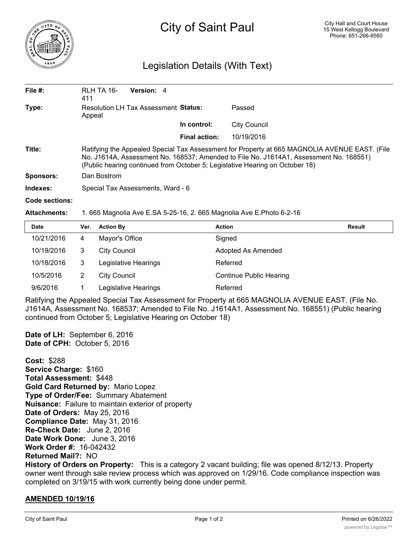

## City of Saint Paul

## Legislation Details (With Text)

| File $#$ :       | RLH TA 16-<br>411                                                                                                                                                                                                                                                       | Version: 4 |                      |                     |  |  |
|------------------|-------------------------------------------------------------------------------------------------------------------------------------------------------------------------------------------------------------------------------------------------------------------------|------------|----------------------|---------------------|--|--|
| Type:            | <b>Resolution LH Tax Assessment Status:</b><br>Appeal                                                                                                                                                                                                                   |            |                      | Passed              |  |  |
|                  |                                                                                                                                                                                                                                                                         |            | In control:          | <b>City Council</b> |  |  |
|                  |                                                                                                                                                                                                                                                                         |            | <b>Final action:</b> | 10/19/2016          |  |  |
| Title:           | Ratifying the Appealed Special Tax Assessment for Property at 665 MAGNOLIA AVENUE EAST. (File<br>No. J1614A, Assessment No. 168537; Amended to File No. J1614A1, Assessment No. 168551)<br>(Public hearing continued from October 5; Legislative Hearing on October 18) |            |                      |                     |  |  |
| <b>Sponsors:</b> | Dan Bostrom                                                                                                                                                                                                                                                             |            |                      |                     |  |  |
| Indexes:         | Special Tax Assessments, Ward - 6                                                                                                                                                                                                                                       |            |                      |                     |  |  |
| Code sections:   |                                                                                                                                                                                                                                                                         |            |                      |                     |  |  |

**Attachments:** 1. 665 Magnolia Ave E.SA 5-25-16, 2. 665 Magnolia Ave E.Photo 6-2-16

| <b>Date</b> | Ver. | <b>Action By</b>     | <b>Action</b>                  | Result |
|-------------|------|----------------------|--------------------------------|--------|
| 10/21/2016  | 4    | Mayor's Office       | Signed                         |        |
| 10/19/2016  | 3    | <b>City Council</b>  | Adopted As Amended             |        |
| 10/18/2016  | 3    | Legislative Hearings | Referred                       |        |
| 10/5/2016   | 2    | <b>City Council</b>  | <b>Continue Public Hearing</b> |        |
| 9/6/2016    |      | Legislative Hearings | Referred                       |        |

Ratifying the Appealed Special Tax Assessment for Property at 665 MAGNOLIA AVENUE EAST. (File No. J1614A, Assessment No. 168537; Amended to File No. J1614A1, Assessment No. 168551) (Public hearing continued from October 5; Legislative Hearing on October 18)

**Date of LH:** September 6, 2016 **Date of CPH:** October 5, 2016

**Cost:** \$288 **Service Charge:** \$160 **Total Assessment:** \$448 **Gold Card Returned by:** Mario Lopez **Type of Order/Fee:** Summary Abatement **Nuisance:** Failure to maintain exterior of property **Date of Orders:** May 25, 2016 **Compliance Date:** May 31, 2016 **Re-Check Date:** June 2, 2016 **Date Work Done:** June 3, 2016 **Work Order #:** 16-042432 **Returned Mail?:** NO

**History of Orders on Property:** This is a category 2 vacant building; file was opened 8/12/13. Property owner went through sale review process which was approved on 1/29/16. Code compliance inspection was completed on 3/19/15 with work currently being done under permit.

## **AMENDED 10/19/16**